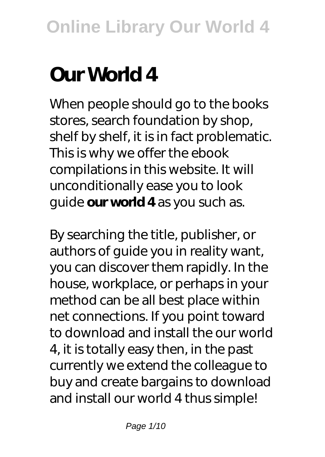# **Our World 4**

When people should go to the books stores, search foundation by shop, shelf by shelf, it is in fact problematic. This is why we offer the ebook compilations in this website. It will unconditionally ease you to look guide **our world 4** as you such as.

By searching the title, publisher, or authors of guide you in reality want, you can discover them rapidly. In the house, workplace, or perhaps in your method can be all best place within net connections. If you point toward to download and install the our world 4, it is totally easy then, in the past currently we extend the colleague to buy and create bargains to download and install our world 4 thus simple!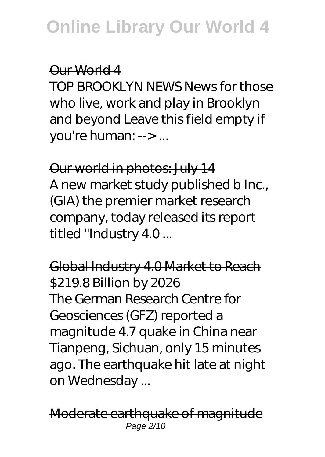#### Our World 4

TOP BROOKLYN NEWS News for those who live, work and play in Brooklyn and beyond Leave this field empty if you're human: --> ...

Our world in photos: July 14 A new market study published b Inc., (GIA) the premier market research company, today released its report titled "Industry 4.0 ...

Global Industry 4.0 Market to Reach \$219.8 Billion by 2026 The German Research Centre for Geosciences (GFZ) reported a magnitude 4.7 quake in China near Tianpeng, Sichuan, only 15 minutes ago. The earthquake hit late at night on Wednesday ...

Moderate earthquake of magnitude Page 2/10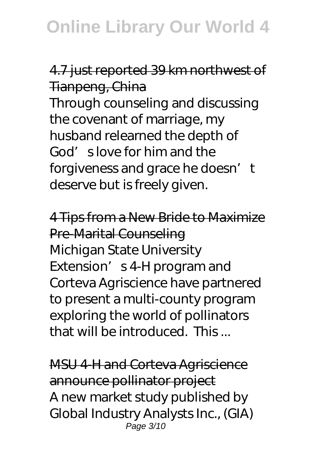## 4.7 just reported 39 km northwest of Tianpeng, China

Through counseling and discussing the covenant of marriage, my husband relearned the depth of God's love for him and the forgiveness and grace he doesn't deserve but is freely given.

4 Tips from a New Bride to Maximize Pre-Marital Counseling Michigan State University Extension' s 4-H program and Corteva Agriscience have partnered to present a multi-county program exploring the world of pollinators that will be introduced. This ...

MSU 4-H and Corteva Agriscience announce pollinator project A new market study published by Global Industry Analysts Inc., (GIA) Page 3/10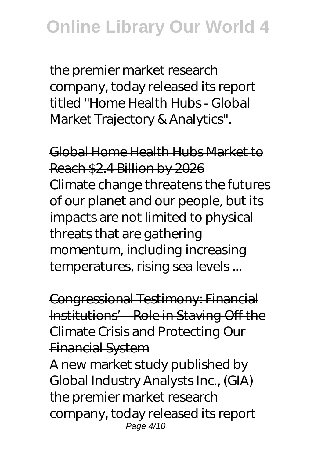the premier market research company, today released its report titled "Home Health Hubs - Global Market Trajectory & Analytics".

Global Home Health Hubs Market to Reach \$2.4 Billion by 2026 Climate change threatens the futures of our planet and our people, but its impacts are not limited to physical threats that are gathering momentum, including increasing temperatures, rising sea levels ...

Congressional Testimony: Financial Institutions' Role in Staving Off the Climate Crisis and Protecting Our Financial System

A new market study published by Global Industry Analysts Inc., (GIA) the premier market research company, today released its report Page 4/10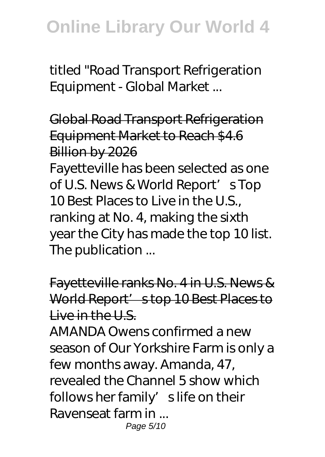titled "Road Transport Refrigeration Equipment - Global Market ...

Global Road Transport Refrigeration Equipment Market to Reach \$4.6 Billion by 2026

Fayetteville has been selected as one of U.S. News & World Report' s Top 10 Best Places to Live in the U.S., ranking at No. 4, making the sixth year the City has made the top 10 list. The publication ...

Fayetteville ranks No. 4 in U.S. News & World Report' stop 10 Best Places to  $Liv$ e in the  $U_S$ .

AMANDA Owens confirmed a new season of Our Yorkshire Farm is only a few months away. Amanda, 47, revealed the Channel 5 show which follows her family' slife on their Ravenseat farm in ... Page 5/10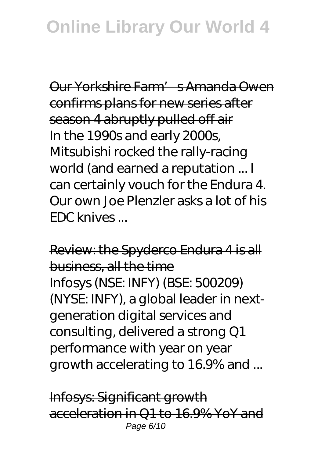Our Yorkshire Farm's Amanda Owen confirms plans for new series after season 4 abruptly pulled off air In the 1990s and early 2000s, Mitsubishi rocked the rally-racing world (and earned a reputation ... I can certainly vouch for the Endura 4. Our own Joe Plenzler asks a lot of his EDC knives ...

Review: the Spyderco Endura 4 is all business, all the time Infosys (NSE: INFY) (BSE: 500209) (NYSE: INFY), a global leader in nextgeneration digital services and consulting, delivered a strong Q1 performance with year on year growth accelerating to 16.9% and ...

Infosys: Significant growth acceleration in Q1 to 16.9% YoY and Page 6/10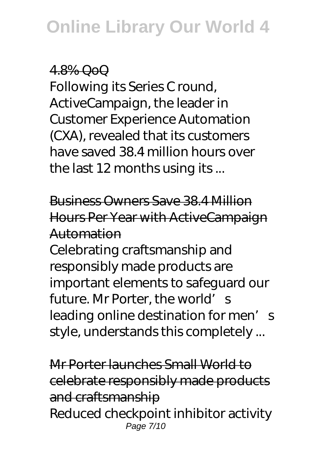### 4.8% QoQ

Following its Series C round, ActiveCampaign, the leader in Customer Experience Automation (CXA), revealed that its customers have saved 38.4 million hours over the last 12 months using its ...

Business Owners Save 38.4 Million Hours Per Year with ActiveCampaign Automation

Celebrating craftsmanship and responsibly made products are important elements to safeguard our future. Mr Porter, the world's leading online destination for men's style, understands this completely ...

Mr Porter launches Small World to celebrate responsibly made products and craftsmanship Reduced checkpoint inhibitor activity Page 7/10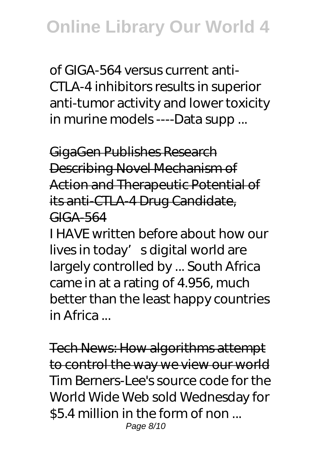of GIGA-564 versus current anti-CTLA-4 inhibitors results in superior anti-tumor activity and lower toxicity in murine models ----Data supp ...

GigaGen Publishes Research Describing Novel Mechanism of Action and Therapeutic Potential of its anti-CTLA-4 Drug Candidate, GIGA-564

I HAVE written before about how our lives in today' sdigital world are largely controlled by ... South Africa came in at a rating of 4.956, much better than the least happy countries in Africa ...

Tech News: How algorithms attempt to control the way we view our world Tim Berners-Lee's source code for the World Wide Web sold Wednesday for \$5.4 million in the form of non ... Page 8/10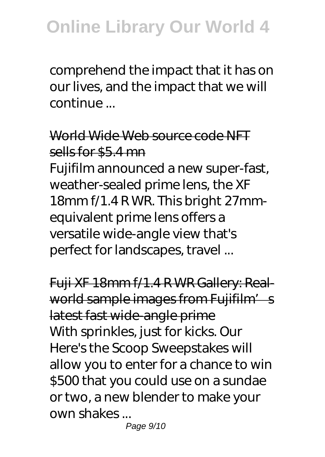comprehend the impact that it has on our lives, and the impact that we will continue ...

World Wide Web source code NFT sells for \$5.4 mn

Fujifilm announced a new super-fast, weather-sealed prime lens, the XF 18mm f/1.4 R WR. This bright 27mmequivalent prime lens offers a versatile wide-angle view that's perfect for landscapes, travel ...

Fuji XF 18mm f/1.4 R WR Gallery: Realworld sample images from Fujifilm's latest fast wide-angle prime With sprinkles, just for kicks. Our Here's the Scoop Sweepstakes will allow you to enter for a chance to win \$500 that you could use on a sundae or two, a new blender to make your own shakes ...

Page 9/10